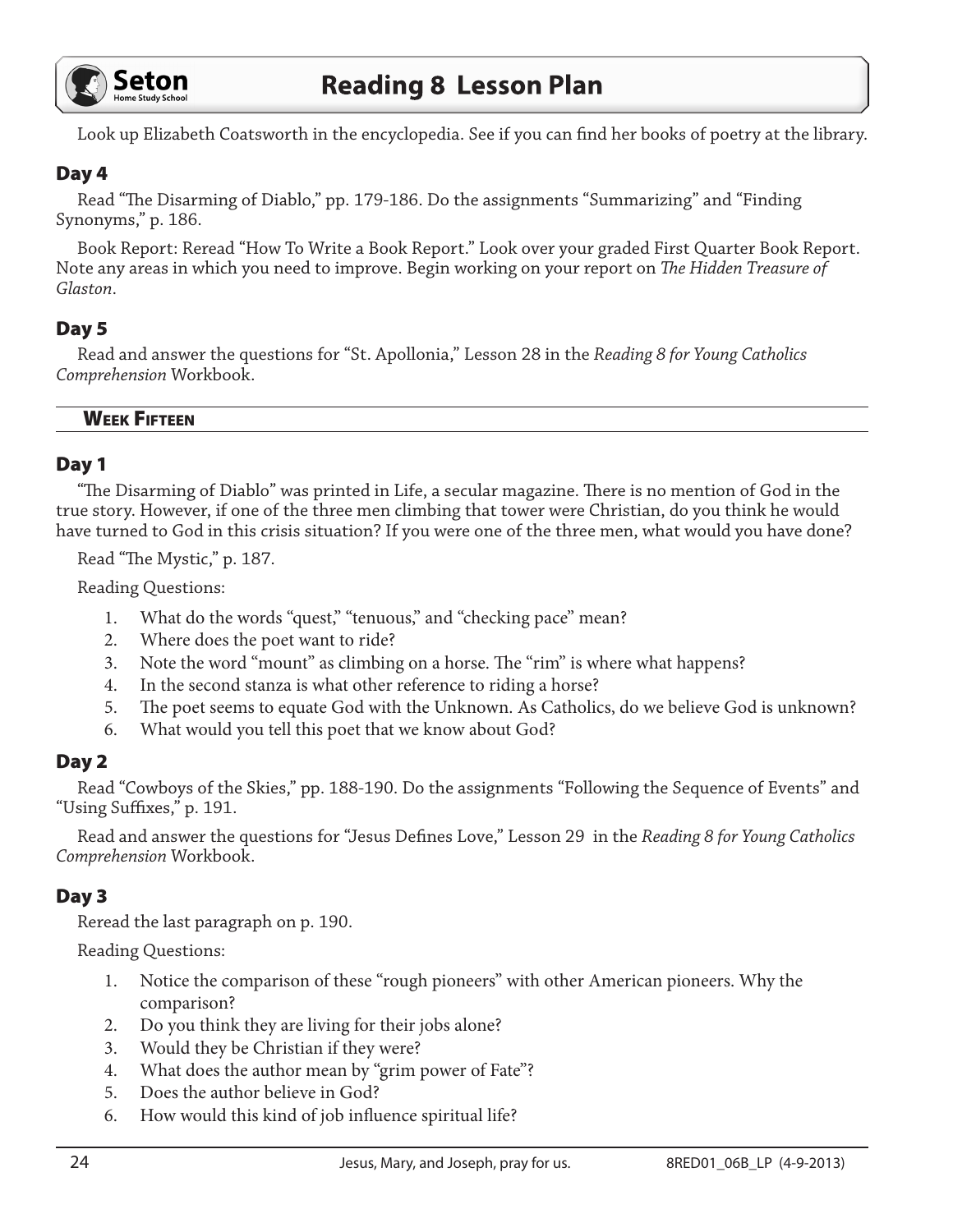

Look up Elizabeth Coatsworth in the encyclopedia. See if you can find her books of poetry at the library.

#### Day 4

Read "The Disarming of Diablo," pp. 179-186. Do the assignments "Summarizing" and "Finding Synonyms," p. 186.

Book Report: Reread "How To Write a Book Report." Look over your graded First Quarter Book Report. Note any areas in which you need to improve. Begin working on your report on *The Hidden Treasure of Glaston*.

### Day 5

Read and answer the questions for "St. Apollonia," Lesson 28 in the *Reading 8 for Young Catholics Comprehension* Workbook.

#### Week Fifteen

#### Day 1

"The Disarming of Diablo" was printed in Life, a secular magazine. There is no mention of God in the true story. However, if one of the three men climbing that tower were Christian, do you think he would have turned to God in this crisis situation? If you were one of the three men, what would you have done?

Read "The Mystic," p. 187.

Reading Questions:

- 1. What do the words "quest," "tenuous," and "checking pace" mean?
- 2. Where does the poet want to ride?
- 3. Note the word "mount" as climbing on a horse. The "rim" is where what happens?
- 4. In the second stanza is what other reference to riding a horse?
- 5. The poet seems to equate God with the Unknown. As Catholics, do we believe God is unknown?
- 6. What would you tell this poet that we know about God?

#### Day 2

Read "Cowboys of the Skies," pp. 188-190. Do the assignments "Following the Sequence of Events" and "Using Suffixes," p. 191.

Read and answer the questions for "Jesus Defines Love," Lesson 29 in the *Reading 8 for Young Catholics Comprehension* Workbook.

#### Day 3

Reread the last paragraph on p. 190.

Reading Questions:

- 1. Notice the comparison of these "rough pioneers" with other American pioneers. Why the comparison?
- 2. Do you think they are living for their jobs alone?
- 3. Would they be Christian if they were?
- 4. What does the author mean by "grim power of Fate"?
- 5. Does the author believe in God?
- 6. How would this kind of job influence spiritual life?